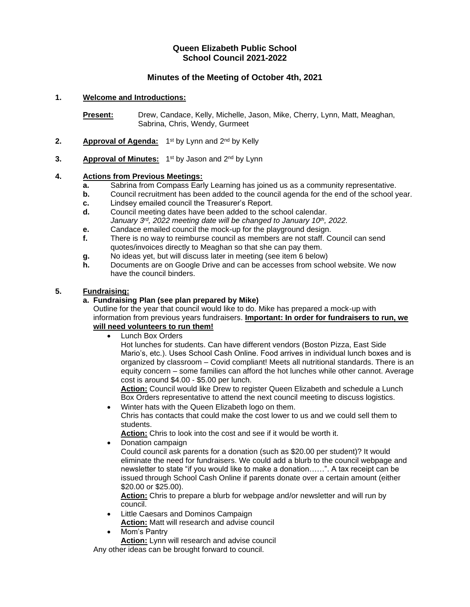# **Queen Elizabeth Public School School Council 2021-2022**

# **Minutes of the Meeting of October 4th, 2021**

## **1. Welcome and Introductions:**

**Present:** Drew, Candace, Kelly, Michelle, Jason, Mike, Cherry, Lynn, Matt, Meaghan, Sabrina, Chris, Wendy, Gurmeet

- 2. **Approval of Agenda:** 1<sup>st</sup> by Lynn and 2<sup>nd</sup> by Kelly
- 3. **Approval of Minutes:** 1<sup>st</sup> by Jason and 2<sup>nd</sup> by Lynn

## **4. Actions from Previous Meetings:**

- **a.** Sabrina from Compass Early Learning has joined us as a community representative.
- **b.** Council recruitment has been added to the council agenda for the end of the school year.
- **c.** Lindsey emailed council the Treasurer's Report.
- **d.** Council meeting dates have been added to the school calendar. *January 3rd, 2022 meeting date will be changed to January 10th, 2022.*
- **e.** Candace emailed council the mock-up for the playground design.
- **f.** There is no way to reimburse council as members are not staff. Council can send quotes/invoices directly to Meaghan so that she can pay them.
- **g.** No ideas yet, but will discuss later in meeting (see item 6 below)
- **h.** Documents are on Google Drive and can be accesses from school website. We now have the council binders.

## **5. Fundraising:**

## **a. Fundraising Plan (see plan prepared by Mike)**

Outline for the year that council would like to do. Mike has prepared a mock-up with information from previous years fundraisers. **Important: In order for fundraisers to run, we will need volunteers to run them!**

• Lunch Box Orders

Hot lunches for students. Can have different vendors (Boston Pizza, East Side Mario's, etc.). Uses School Cash Online. Food arrives in individual lunch boxes and is organized by classroom – Covid compliant! Meets all nutritional standards. There is an equity concern – some families can afford the hot lunches while other cannot. Average cost is around \$4.00 - \$5.00 per lunch.

**Action:** Council would like Drew to register Queen Elizabeth and schedule a Lunch Box Orders representative to attend the next council meeting to discuss logistics.

• Winter hats with the Queen Elizabeth logo on them. Chris has contacts that could make the cost lower to us and we could sell them to students.

**Action:** Chris to look into the cost and see if it would be worth it.

• Donation campaign

Could council ask parents for a donation (such as \$20.00 per student)? It would eliminate the need for fundraisers. We could add a blurb to the council webpage and newsletter to state "if you would like to make a donation……". A tax receipt can be issued through School Cash Online if parents donate over a certain amount (either \$20.00 or \$25.00).

**Action:** Chris to prepare a blurb for webpage and/or newsletter and will run by council.

• Little Caesars and Dominos Campaign

**Action:** Matt will research and advise council

• Mom's Pantry

**Action:** Lynn will research and advise council

Any other ideas can be brought forward to council.